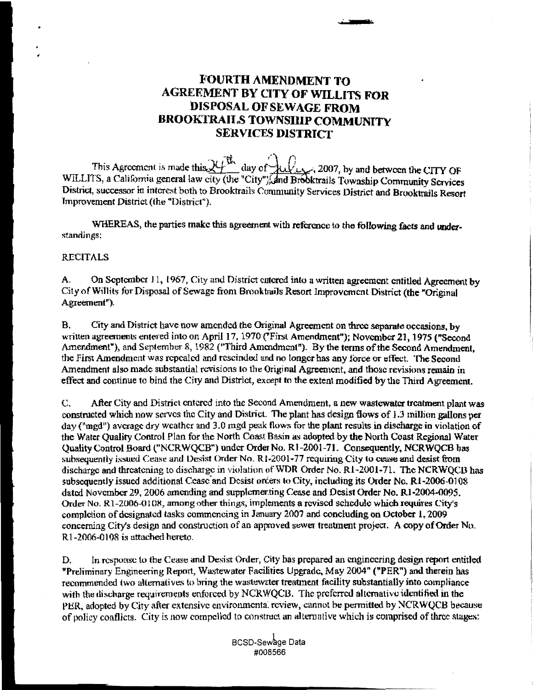## **FOURTH AMENDMENT TO AGREEMENT BY CITY OF WILLITS FOR** DISPOSAL OF SEWAGE FROM **BROOKTRAILS TOWNSILIP COMMUNITY SERVICES DISTRICT**

This Agreement is made this  $24\frac{\text{W}}{\text{A}}$  day of  $4\frac{\text{W}}{\text{A}}$ . 2007, by and between the CITY OF WILLITS, a California general law city (the "City"), and Brooktrails Township Community Scrvices District, successor in interest both to Brooktrails Community Services District and Brooktrails Resort Improvement District (the "District").

WHEREAS, the parties make this agreement with reference to the following facts and understandings:

## **RECITALS**

On September 11, 1967, City and District entered into a written agreement entitled Agreement by А. City of Willits for Disposal of Sewage from Brooktrails Resort Improvement District (the "Original" Agreement").

City and District have now amended the Original Agreement on three separate occasions, by В. written agreements entered into on April 17, 1970 ("First Amendment"); November 21, 1975 ("Second Amendment"), and September 8, 1982 ("Third Amendment"). By the terms of the Second Amendment. the First Amendment was repealed and rescinded and no longer has any force or effect. The Second Amendment also made substantial revisions to the Original Agreement, and those revisions remain in effect and continue to bind the City and District, except to the extent modified by the Third Agreement.

After City and District entered into the Second Amendment, a new wastewater treatment plant was C. constructed which now serves the City and District. The plant has design flows of 1.3 million gallons per day ("med") average dry weather and 3.0 mgd peak flows for the plant results in discharge in violation of the Water Quality Control Plan for the North Coast Basin as adopted by the North Coast Regional Water Ouality Control Board ("NCRWQCB") under Order No. R1-2001-71. Consequently, NCRWQCB has subsequently issued Cease and Desist Order No. R1-2001-77 requiring City to cease and desist from discharge and threatening to discharge in violation of WDR Order No. R1-2001-71. The NCRWOCB has subsequently issued additional Cease and Desist orders to City, including its Order No. R1-2006-0108 dated November 29, 2006 amending and supplementing Cease and Desist Order No. R1-2004-0095. Order No. R1-2006-0108, among other things, implements a revised schedule which requires City's completion of designated tasks commencing in January 2007 and concluding on October 1, 2009 concerning City's design and construction of an approved sewer treatment project. A copy of Order No. R1-2006-0108 is attached hereto.

In response to the Cease and Desist Order, City has prepared an engineering design report entitled D. "Preliminary Engineering Report, Wastewater Facilities Upgrade, May 2004" ("PER") and therein has recommended two alternatives to bring the wastewater treatment facility substantially into compliance with the discharge requirements enforced by NCRWQCB. The preferred alternative identified in the PER, adopted by City after extensive environmental review, cannot be permitted by NCRWQCB because of policy conflicts. City is now compelled to construct an alternative which is comprised of three stages:

> BCSD-Sewage Data #008566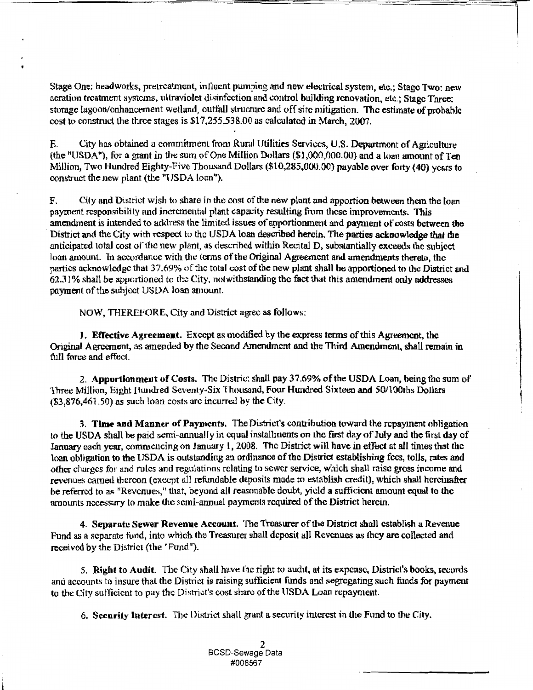Stage One: headworks, pretreatment, influent pumping and new electrical system, etc.; Stage Two: new acration treatment systems, ultraviolet disinfection and control building renovation, etc.; Stage Three: storage lagoon/enhancement wetland, outfall structure and off site mitigation. The estimate of probable cost to construct the three stages is \$17,255,538.00 as calculated in March, 2007.

City has obtained a commitment from Rural Utilities Services, U.S. Department of Agriculture E. (the "USDA"), for a grant in the sum of One Million Dollars  $(\$1,000,000.00)$  and a loan amount of Ten Million, Two Hundred Eighty-Five Thousand Dollars (\$10,285,000.00) payable over forty (40) years to construct the new plant (the "USDA loan").

City and District wish to share in the cost of the new plant and apportion between them the loan F. payment responsibility and incremental plant capacity resulting from these improvements. This amendment is intended to address the limited issues of apportionment and payment of costs between the District and the City with respect to the USDA loan described herein. The parties acknowledge that the anticipated total cost of the new plant, as described within Recital D, substantially exceeds the subject loan amount. In accordance with the terms of the Original Agreement and amendments thereto, the partics acknowledge that 37.69% of the total cost of the new plant shall be apportioned to the District and 62.31% shall be apportioned to the City, notwithstanding the fact that this amendment only addresses payment of the subject USDA loan amount.

NOW, THEREFORE, City and District agree as follows:

J. Effective Agreement. Except as modified by the express terms of this Agreement, the Original Agreement, as amended by the Second Amendment and the Third Amendment, shall remain in full force and effect.

2. Apportionment of Costs. The Distric: shall pay 37.69% of the USDA Loan, being the sum of Three Million, Eight Hundred Seventy-Six Thousand, Four Hundred Sixteen and 50/100ths Dollars  $(33,876,461.50)$  as such loan costs are incurred by the City.

3. Time and Manner of Payments. The District's contribution toward the repayment obligation to the USDA shall be paid semi-annually in equal installments on the first day of July and the first day of January each year, commencing on January 1, 2008. The District will have in effect at all times that the loan obligation to the USDA is outstanding an ordinance of the District establishing fees, tolls, rates and other charges for and rules and regulations relating to sewer service, which shall raise gross income and revenues carned thereon (except all refundable deposits made to establish credit), which shall hereinafter be referred to as "Revenues," that, beyond all reasonable doubt, yield a sufficient amount equal to the amounts necessary to make the semi-annual payments required of the District herein.

4. Separate Sewer Revenue Account. The Treasurer of the District shall establish a Revenue Fund as a separate fund, into which the Treasurer shall deposit all Revenues as they are collected and received by the District (the "Fund").

5. Right to Audit. The City shall have the right to audit, at its expense, District's books, records and accounts to insure that the District is raising sufficient funds and segregating such funds for payment to the City sufficient to pay the District's cost share of the USDA Loan repayment.

6. Security Interest. The District shall grant a security interest in the Fund to the City.